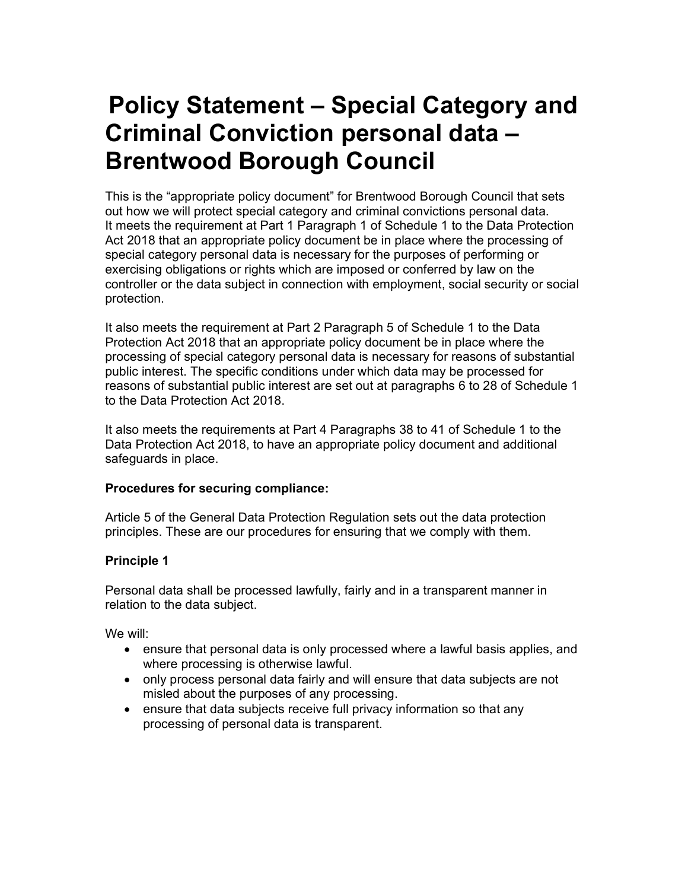# Policy Statement – Special Category and Criminal Conviction personal data – Brentwood Borough Council

This is the "appropriate policy document" for Brentwood Borough Council that sets out how we will protect special category and criminal convictions personal data. It meets the requirement at Part 1 Paragraph 1 of Schedule 1 to the Data Protection Act 2018 that an appropriate policy document be in place where the processing of special category personal data is necessary for the purposes of performing or exercising obligations or rights which are imposed or conferred by law on the controller or the data subject in connection with employment, social security or social protection.

It also meets the requirement at Part 2 Paragraph 5 of Schedule 1 to the Data Protection Act 2018 that an appropriate policy document be in place where the processing of special category personal data is necessary for reasons of substantial public interest. The specific conditions under which data may be processed for reasons of substantial public interest are set out at paragraphs 6 to 28 of Schedule 1 to the Data Protection Act 2018.

It also meets the requirements at Part 4 Paragraphs 38 to 41 of Schedule 1 to the Data Protection Act 2018, to have an appropriate policy document and additional safeguards in place.

## Procedures for securing compliance:

Article 5 of the General Data Protection Regulation sets out the data protection principles. These are our procedures for ensuring that we comply with them.

## Principle 1

Personal data shall be processed lawfully, fairly and in a transparent manner in relation to the data subject.

We will:

- ensure that personal data is only processed where a lawful basis applies, and where processing is otherwise lawful.
- only process personal data fairly and will ensure that data subjects are not misled about the purposes of any processing.
- ensure that data subjects receive full privacy information so that any processing of personal data is transparent.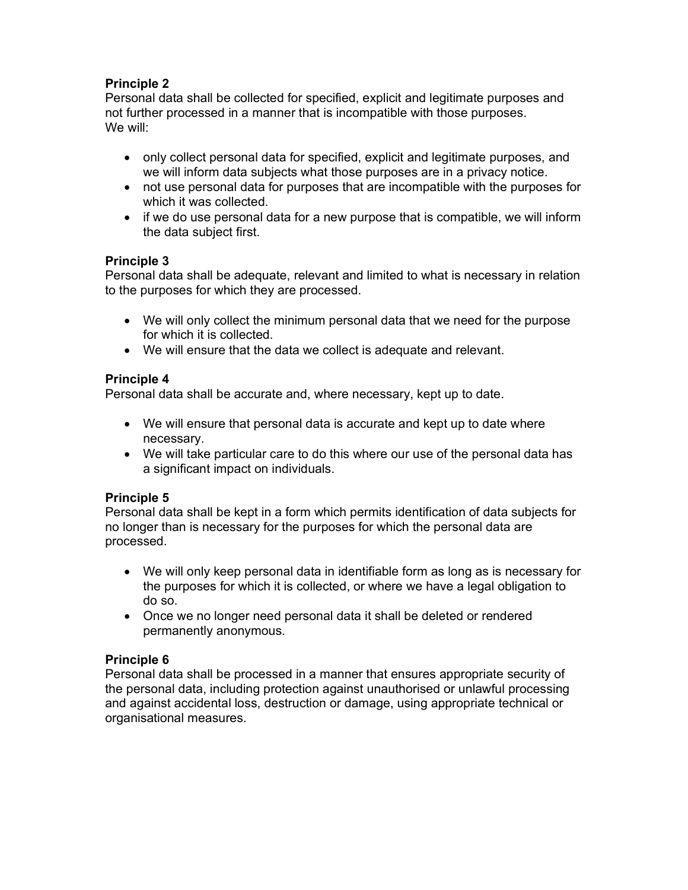## Principle 2

Personal data shall be collected for specified, explicit and legitimate purposes and not further processed in a manner that is incompatible with those purposes. We will:

- only collect personal data for specified, explicit and legitimate purposes, and we will inform data subjects what those purposes are in a privacy notice.
- not use personal data for purposes that are incompatible with the purposes for which it was collected.
- if we do use personal data for a new purpose that is compatible, we will inform the data subject first.

#### Principle 3

Personal data shall be adequate, relevant and limited to what is necessary in relation to the purposes for which they are processed.

- We will only collect the minimum personal data that we need for the purpose for which it is collected.
- We will ensure that the data we collect is adequate and relevant.

## Principle 4

Personal data shall be accurate and, where necessary, kept up to date.

- We will ensure that personal data is accurate and kept up to date where necessary.
- We will take particular care to do this where our use of the personal data has a significant impact on individuals.

## Principle 5

Personal data shall be kept in a form which permits identification of data subjects for no longer than is necessary for the purposes for which the personal data are processed.

- We will only keep personal data in identifiable form as long as is necessary for the purposes for which it is collected, or where we have a legal obligation to do so.
- Once we no longer need personal data it shall be deleted or rendered permanently anonymous.

## Principle 6

Personal data shall be processed in a manner that ensures appropriate security of the personal data, including protection against unauthorised or unlawful processing and against accidental loss, destruction or damage, using appropriate technical or organisational measures.